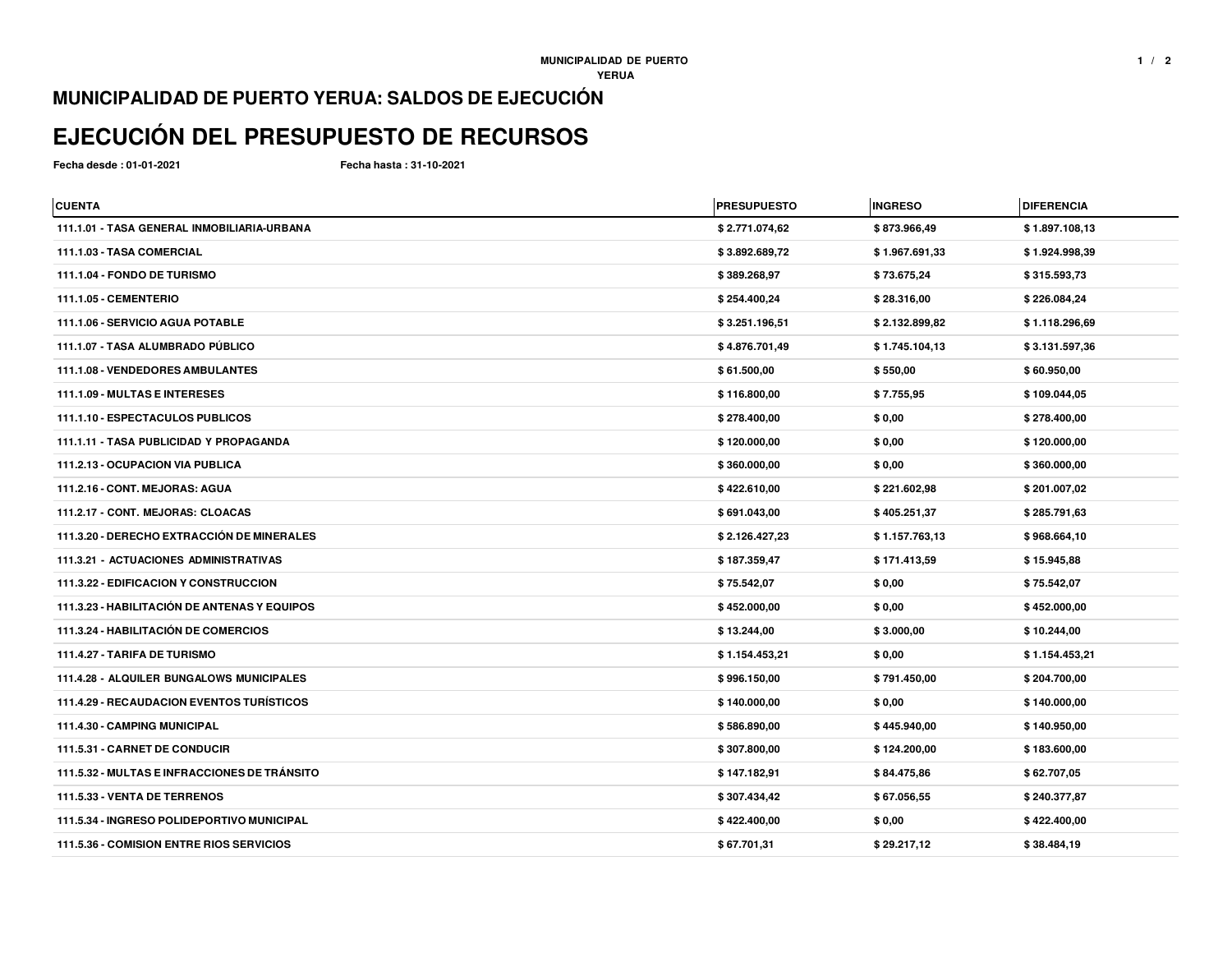## **MUNICIPALIDAD DE PUERTO YERUA: SALDOS DE EJECUCIÓN**

## **EJECUCIÓN DEL PRESUPUESTO DE RECURSOS**

**Fecha desde : 01-01-2021**

**Fecha hasta : 31-10-2021**

| <b>CUENTA</b>                                    | <b>PRESUPUESTO</b> | <b>INGRESO</b> | <b>DIFERENCIA</b> |
|--------------------------------------------------|--------------------|----------------|-------------------|
| 111.1.01 - TASA GENERAL INMOBILIARIA-URBANA      | \$2.771.074,62     | \$873.966,49   | \$1.897.108,13    |
| 111.1.03 - TASA COMERCIAL                        | \$3.892.689,72     | \$1.967.691,33 | \$1.924.998,39    |
| 111.1.04 - FONDO DE TURISMO                      | \$389.268,97       | \$73.675,24    | \$315.593,73      |
| 111.1.05 - CEMENTERIO                            | \$254.400,24       | \$28.316,00    | \$226.084,24      |
| 111.1.06 - SERVICIO AGUA POTABLE                 | \$3.251.196,51     | \$2.132.899,82 | \$1.118.296,69    |
| 111.1.07 - TASA ALUMBRADO PÚBLICO                | \$4.876.701,49     | \$1.745.104,13 | \$3.131.597,36    |
| 111.1.08 - VENDEDORES AMBULANTES                 | \$61.500,00        | \$550,00       | \$60.950,00       |
| 111.1.09 - MULTAS E INTERESES                    | \$116.800,00       | \$7.755,95     | \$109.044,05      |
| 111.1.10 - ESPECTACULOS PUBLICOS                 | \$278.400,00       | \$0,00         | \$278.400,00      |
| 111.1.11 - TASA PUBLICIDAD Y PROPAGANDA          | \$120.000,00       | \$0,00         | \$120.000,00      |
| 111.2.13 - OCUPACION VIA PUBLICA                 | \$360.000,00       | \$0,00         | \$360.000,00      |
| 111.2.16 - CONT. MEJORAS: AGUA                   | \$422.610,00       | \$221.602,98   | \$201.007,02      |
| 111.2.17 - CONT. MEJORAS: CLOACAS                | \$691.043,00       | \$405.251,37   | \$285.791,63      |
| 111.3.20 - DERECHO EXTRACCIÓN DE MINERALES       | \$2.126.427,23     | \$1.157.763,13 | \$968.664,10      |
| <b>111.3.21 - ACTUACIONES ADMINISTRATIVAS</b>    | \$187.359,47       | \$171.413,59   | \$15.945,88       |
| <b>111.3.22 - EDIFICACION Y CONSTRUCCION</b>     | \$75.542,07        | \$0,00         | \$75.542,07       |
| 111.3.23 - HABILITACIÓN DE ANTENAS Y EQUIPOS     | \$452.000,00       | \$0,00         | \$452.000,00      |
| 111.3.24 - HABILITACIÓN DE COMERCIOS             | \$13.244,00        | \$3.000,00     | \$10.244,00       |
| 111.4.27 - TARIFA DE TURISMO                     | \$1.154.453,21     | \$0,00         | \$1.154.453,21    |
| <b>111.4.28 - ALQUILER BUNGALOWS MUNICIPALES</b> | \$996.150,00       | \$791.450,00   | \$204.700,00      |
| <b>111.4.29 - RECAUDACION EVENTOS TURÍSTICOS</b> | \$140.000,00       | \$0,00         | \$140.000,00      |
| 111.4.30 - CAMPING MUNICIPAL                     | \$586.890,00       | \$445.940,00   | \$140.950,00      |
| 111.5.31 - CARNET DE CONDUCIR                    | \$307.800,00       | \$124.200,00   | \$183.600,00      |
| 111.5.32 - MULTAS E INFRACCIONES DE TRÁNSITO     | \$147.182,91       | \$84.475,86    | \$62.707,05       |
| 111.5.33 - VENTA DE TERRENOS                     | \$307.434,42       | \$67.056,55    | \$240.377,87      |
| 111.5.34 - INGRESO POLIDEPORTIVO MUNICIPAL       | \$422.400,00       | \$0,00         | \$422.400,00      |
| 111.5.36 - COMISION ENTRE RIOS SERVICIOS         | \$67.701,31        | \$29.217,12    | \$38.484,19       |
|                                                  |                    |                |                   |